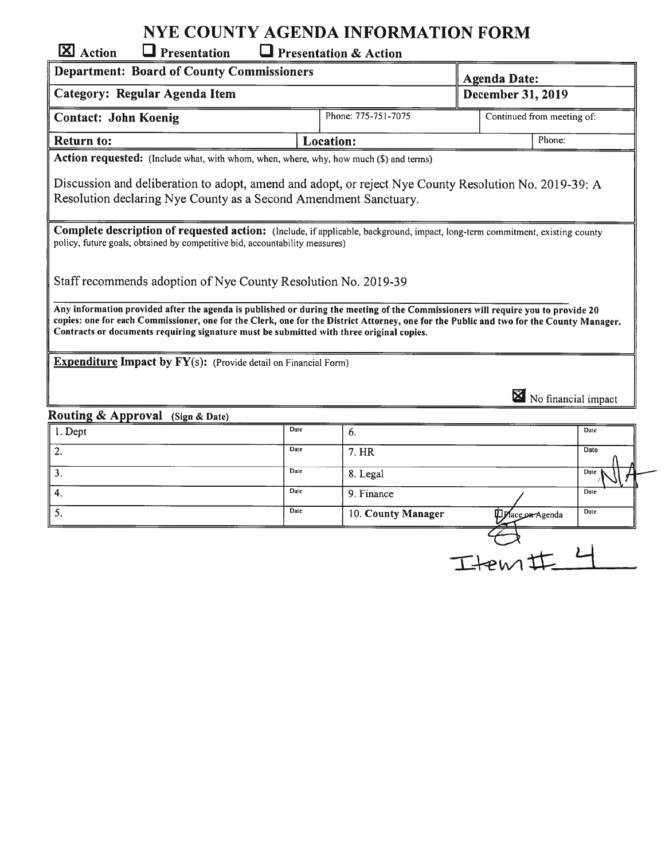## NYE COUNTY AGENDA INFORMATION FORM

| <b>X</b> Action<br>Presentation                                                                                                                                                                                                                                                                                                                                         |      | <b>Presentation &amp; Action</b> |                            |                     |  |
|-------------------------------------------------------------------------------------------------------------------------------------------------------------------------------------------------------------------------------------------------------------------------------------------------------------------------------------------------------------------------|------|----------------------------------|----------------------------|---------------------|--|
| <b>Department: Board of County Commissioners</b>                                                                                                                                                                                                                                                                                                                        |      |                                  | <b>Agenda Date:</b>        |                     |  |
| Category: Regular Agenda Item                                                                                                                                                                                                                                                                                                                                           |      |                                  | December 31, 2019          |                     |  |
| <b>Contact: John Koenig</b>                                                                                                                                                                                                                                                                                                                                             |      | Phone: 775-751-7075              | Continued from meeting of: |                     |  |
| <b>Return to:</b>                                                                                                                                                                                                                                                                                                                                                       |      | <b>Location:</b>                 | Phone:                     |                     |  |
| Action requested: (Include what, with whom, when, where, why, how much (\$) and terms)                                                                                                                                                                                                                                                                                  |      |                                  |                            |                     |  |
| Discussion and deliberation to adopt, amend and adopt, or reject Nye County Resolution No. 2019-39: A<br>Resolution declaring Nye County as a Second Amendment Sanctuary.                                                                                                                                                                                               |      |                                  |                            |                     |  |
| Complete description of requested action: (Include, if applicable, background, impact, long-term commitment, existing county<br>policy, future goals, obtained by competitive bid, accountability measures)                                                                                                                                                             |      |                                  |                            |                     |  |
| Staff recommends adoption of Nye County Resolution No. 2019-39                                                                                                                                                                                                                                                                                                          |      |                                  |                            |                     |  |
| Any information provided after the agenda is published or during the meeting of the Commissioners will require you to provide 20<br>copies: one for each Commissioner, one for the Clerk, one for the District Attorney, one for the Public and two for the County Manager.<br>Contracts or documents requiring signature must be submitted with three original copies. |      |                                  |                            |                     |  |
| <b>Expenditure Impact by FY(s):</b> (Provide detail on Financial Form)                                                                                                                                                                                                                                                                                                  |      |                                  |                            |                     |  |
|                                                                                                                                                                                                                                                                                                                                                                         |      |                                  |                            | No financial impact |  |
| Routing & Approval (Sign & Date)                                                                                                                                                                                                                                                                                                                                        |      |                                  |                            |                     |  |
| 1. Dept                                                                                                                                                                                                                                                                                                                                                                 | Date | 6.                               |                            | Date                |  |
| 2.                                                                                                                                                                                                                                                                                                                                                                      | Date | 7. HR                            |                            | Date                |  |
| 3.                                                                                                                                                                                                                                                                                                                                                                      | Date | 8. Legal                         |                            | Date                |  |
| 4.                                                                                                                                                                                                                                                                                                                                                                      | Date | 9. Finance                       |                            | Date                |  |

5. Date 10. County Manager Date Date Date Date

| PMA |  |
|-----|--|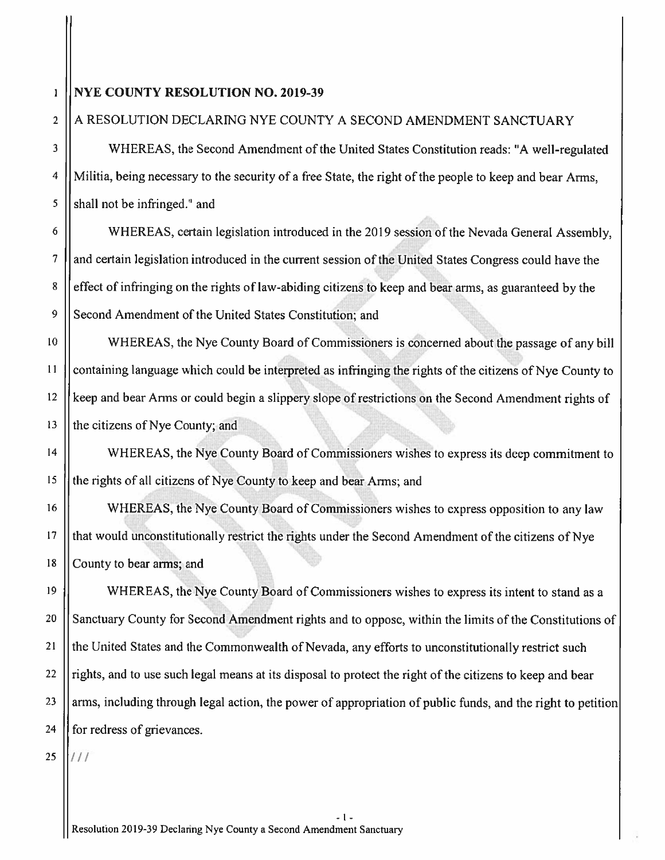## 1 || NYE COUNTY RESOLUTION NO. 2019-39

## 2 A RESOLUTION DECLARING NYE COUNTY A SECOND AMENDMENT SANCTUARY

<sup>3</sup> WHEREAS. the Second Amendment of the United States Constitution reads: "A well-regulated <sup>4</sup> | Militia, being necessary to the security of a free State, the right of the people to keep and bear Arms.  $5$  || shall not be infringed." and

<sup>6</sup> WHEREAS. certain legislation introduced in the <sup>2019</sup> session of the Nevada General Assembly. <sup>7</sup> and certain legislation introduced in the current session of the United States Congress could have the 8 effect of infringing on the rights of law-abiding citizens to keep and bear arms, as guaranteed by the 9 Second Amendment of the United States Constitution; and

 WHEREAS, the Nye County Board of Commissioners is concerned about the passage of any bill containing language which could be interpreted as infringing the rights of the citizens of Nyc County to keep and bear Arms or could begin <sup>a</sup> slippery slope of restrictions on the Second Amendment rights of || the citizens of Nye County; and

14 | WHEREAS, the Nye County Board of Commissioners wishes to express its deep commitment to 15 || the rights of all citizens of Nye County to keep and bear Arms; and

16 | WHEREAS, the Nye County Board of Commissioners wishes to express opposition to any law <sup>17</sup> that would unconstitutionally restrict the rights under the Second Amendment of the citizens of Nyc 18 County to bear arms; and

<sup>19</sup> WHEREAS, the Nyc County Board of Commissioners wishes to express its intent to stand as <sup>a</sup> 20 Sanctuary County for Second Amendment rights and to oppose, within the limits of the Constitutions of 21 | the United States and the Commonwealth of Nevada, any efforts to unconstitutionally restrict such 22 || rights, and to use such legal means at its disposal to protect the right of the citizens to keep and bear 23 || arms, including through legal action, the power of appropriation of public funds, and the right to petition  $24$  || for redress of grievances.

 $25$   $1111$